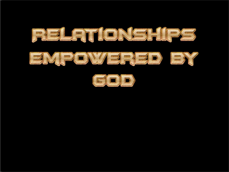



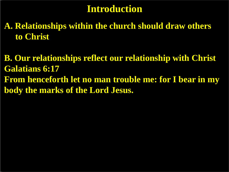# **Introduction**

**A. Relationships within the church should draw others to Christ**

**B. Our relationships reflect our relationship with Christ Galatians 6:17 From henceforth let no man trouble me: for I bear in my body the marks of the Lord Jesus.**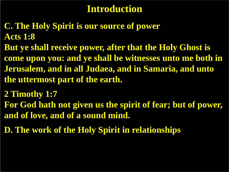# **Introduction**

- **C. The Holy Spirit is our source of power Acts 1:8**
- **But ye shall receive power, after that the Holy Ghost is come upon you: and ye shall be witnesses unto me both in Jerusalem, and in all Judaea, and in Samaria, and unto the uttermost part of the earth.**
- **2 Timothy 1:7**
- **For God hath not given us the spirit of fear; but of power, and of love, and of a sound mind.**
- **D. The work of the Holy Spirit in relationships**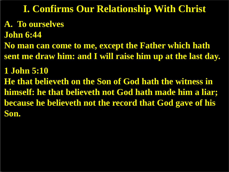## **I. Confirms Our Relationship With Christ**

# **A. To ourselves**

**John 6:44**

**No man can come to me, except the Father which hath sent me draw him: and I will raise him up at the last day.**

**1 John 5:10 He that believeth on the Son of God hath the witness in himself: he that believeth not God hath made him a liar; because he believeth not the record that God gave of his Son.**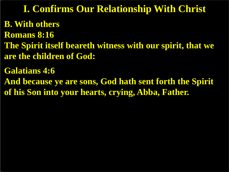**I. Confirms Our Relationship With Christ**

**B. With others Romans 8:16 The Spirit itself beareth witness with our spirit, that we are the children of God:**

**Galatians 4:6**

**And because ye are sons, God hath sent forth the Spirit of his Son into your hearts, crying, Abba, Father.**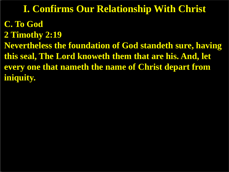## **I. Confirms Our Relationship With Christ**

**C. To God 2 Timothy 2:19 Nevertheless the foundation of God standeth sure, having this seal, The Lord knoweth them that are his. And, let every one that nameth the name of Christ depart from iniquity.**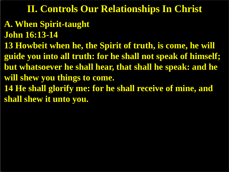- **A. When Spirit-taught**
- **John 16:13-14**
- **13 Howbeit when he, the Spirit of truth, is come, he will guide you into all truth: for he shall not speak of himself; but whatsoever he shall hear, that shall he speak: and he will shew you things to come.**
- **14 He shall glorify me: for he shall receive of mine, and shall shew it unto you.**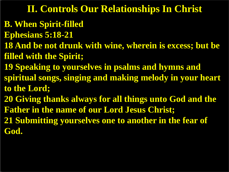- **B. When Spirit-filled**
- **Ephesians 5:18-21**
- **18 And be not drunk with wine, wherein is excess; but be filled with the Spirit;**
- **19 Speaking to yourselves in psalms and hymns and spiritual songs, singing and making melody in your heart to the Lord;**
- **20 Giving thanks always for all things unto God and the Father in the name of our Lord Jesus Christ;**
- **21 Submitting yourselves one to another in the fear of God.**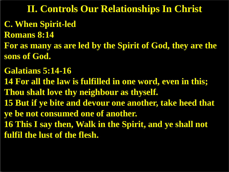- **C. When Spirit-led**
- **Romans 8:14**
- **For as many as are led by the Spirit of God, they are the sons of God.**
- **Galatians 5:14-16**
- **14 For all the law is fulfilled in one word, even in this; Thou shalt love thy neighbour as thyself.**
- **15 But if ye bite and devour one another, take heed that**
- **ye be not consumed one of another.**
- **16 This I say then, Walk in the Spirit, and ye shall not fulfil the lust of the flesh.**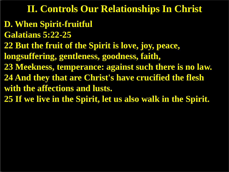- **D. When Spirit-fruitful**
- **Galatians 5:22-25**
- **22 But the fruit of the Spirit is love, joy, peace,**
- **longsuffering, gentleness, goodness, faith,**
- **23 Meekness, temperance: against such there is no law.**
- **24 And they that are Christ's have crucified the flesh with the affections and lusts.**
- **25 If we live in the Spirit, let us also walk in the Spirit.**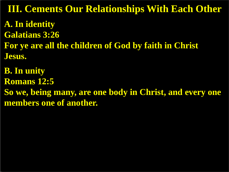**A. In identity Galatians 3:26 For ye are all the children of God by faith in Christ Jesus. III. Cements Our Relationships With Each Other** 

**B. In unity Romans 12:5 So we, being many, are one body in Christ, and every one members one of another.**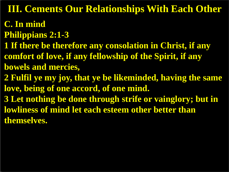**III. Cements Our Relationships With Each Other** 

- **C. In mind**
- **Philippians 2:1-3**
- **1 If there be therefore any consolation in Christ, if any comfort of love, if any fellowship of the Spirit, if any bowels and mercies,**
- **2 Fulfil ye my joy, that ye be likeminded, having the same love, being of one accord, of one mind.**
- **3 Let nothing be done through strife or vainglory; but in lowliness of mind let each esteem other better than themselves.**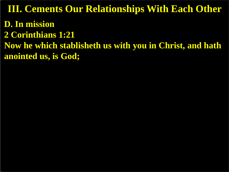**D. In mission 2 Corinthians 1:21 Now he which stablisheth us with you in Christ, and hath anointed us, is God; III. Cements Our Relationships With Each Other**